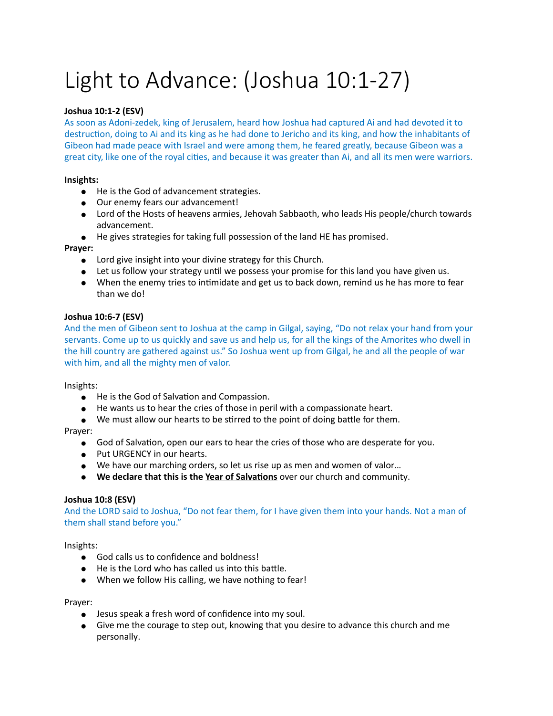# Light to Advance: (Joshua 10:1-27)

# **Joshua 10:1-2 (ESV)**

As soon as Adoni-zedek, king of Jerusalem, heard how Joshua had captured Ai and had devoted it to destruction, doing to Ai and its king as he had done to Jericho and its king, and how the inhabitants of Gibeon had made peace with Israel and were among them, he feared greatly, because Gibeon was a great city, like one of the royal cities, and because it was greater than Ai, and all its men were warriors.

## **Insights:**

- He is the God of advancement strategies.
- Our enemy fears our advancement!
- Lord of the Hosts of heavens armies, Jehovah Sabbaoth, who leads His people/church towards advancement.
- He gives strategies for taking full possession of the land HE has promised.

## **Prayer:**

- Lord give insight into your divine strategy for this Church.
- $\bullet$  Let us follow your strategy until we possess your promise for this land you have given us.
- When the enemy tries to intimidate and get us to back down, remind us he has more to fear than we do!

## **Joshua 10:6-7 (ESV)**

And the men of Gibeon sent to Joshua at the camp in Gilgal, saying, "Do not relax your hand from your servants. Come up to us quickly and save us and help us, for all the kings of the Amorites who dwell in the hill country are gathered against us." So Joshua went up from Gilgal, he and all the people of war with him, and all the mighty men of valor.

#### Insights:

- He is the God of Salvation and Compassion.
- He wants us to hear the cries of those in peril with a compassionate heart.
- We must allow our hearts to be stirred to the point of doing battle for them.

#### Prayer:

- God of Salvation, open our ears to hear the cries of those who are desperate for you.
- Put URGENCY in our hearts.
- We have our marching orders, so let us rise up as men and women of valor…
- **•** We declare that this is the Year of Salvations over our church and community.

#### **Joshua 10:8 (ESV)**

And the LORD said to Joshua, "Do not fear them, for I have given them into your hands. Not a man of them shall stand before you."

Insights:

- God calls us to confidence and boldness!
- $\bullet$  He is the Lord who has called us into this battle.
- When we follow His calling, we have nothing to fear!

#### Prayer:

- Jesus speak a fresh word of confidence into my soul.
- Give me the courage to step out, knowing that you desire to advance this church and me personally.